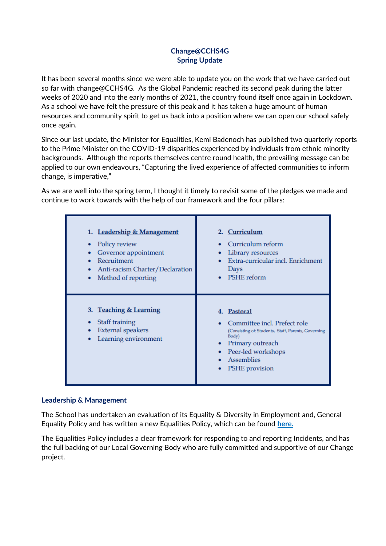# **Change@CCHS4G Spring Update**

It has been several months since we were able to update you on the work that we have carried out so far with change@CCHS4G. As the Global Pandemic reached its second peak during the latter weeks of 2020 and into the early months of 2021, the country found itself once again in Lockdown. As a school we have felt the pressure of this peak and it has taken a huge amount of human resources and community spirit to get us back into a position where we can open our school safely once again.

Since our last update, the Minister for Equalities, Kemi Badenoch has published two quarterly reports to the Prime Minister on the COVID-19 disparities experienced by individuals from ethnic minority backgrounds. Although the reports themselves centre round health, the prevailing message can be applied to our own endeavours, "Capturing the lived experience of affected communities to inform change, is imperative,"

As we are well into the spring term, I thought it timely to revisit some of the pledges we made and continue to work towards with the help of our framework and the four pillars:

| 1. Leadership & Management<br>Policy review<br>Governor appointment<br>Recruitment<br>Anti-racism Charter/Declaration<br>Method of reporting<br>٠ | 2. Curriculum<br>Curriculum reform<br>Library resources<br>Extra-curricular incl. Enrichment<br>Days<br>PSHE reform                                                                         |
|---------------------------------------------------------------------------------------------------------------------------------------------------|---------------------------------------------------------------------------------------------------------------------------------------------------------------------------------------------|
| 3. Teaching & Learning<br>Staff training<br><b>External speakers</b><br>Learning environment                                                      | 4. Pastoral<br>Committee incl. Prefect role<br>(Consisting of: Students, Staff, Parents, Governing<br>Body)<br>• Primary outreach<br>• Peer-led workshops<br>• Assemblies<br>PSHE provision |

#### **Leadership & Management**

The School has undertaken an evaluation of its Equality & Diversity in Employment and, General Equality Policy and has written a new Equalities Policy, which can be found **here.**

The Equalities Policy includes a clear framework for responding to and reporting Incidents, and has the full backing of our Local Governing Body who are fully committed and supportive of our Change project.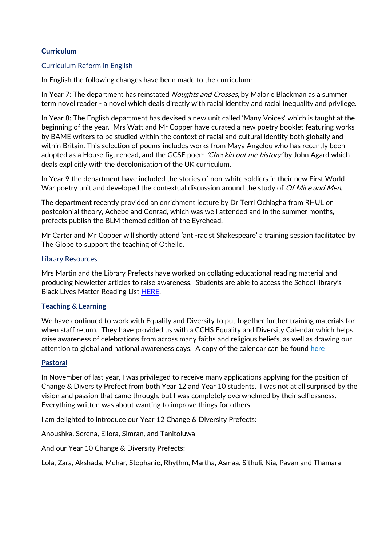## **Curriculum**

### Curriculum Reform in English

In English the following changes have been made to the curriculum:

In Year 7: The department has reinstated *Noughts and Crosses*, by Malorie Blackman as a summer term novel reader - a novel which deals directly with racial identity and racial inequality and privilege.

In Year 8: The English department has devised a new unit called 'Many Voices' which is taught at the beginning of the year. Mrs Watt and Mr Copper have curated a new poetry booklet featuring works by BAME writers to be studied within the context of racial and cultural identity both globally and within Britain. This selection of poems includes works from Maya Angelou who has recently been adopted as a House figurehead, and the GCSE poem *'Checkin out me history'* by John Agard which deals explicitly with the decolonisation of the UK curriculum.

In Year 9 the department have included the stories of non-white soldiers in their new First World War poetry unit and developed the contextual discussion around the study of Of Mice and Men.

The department recently provided an enrichment lecture by Dr Terri Ochiagha from RHUL on postcolonial theory, Achebe and Conrad, which was well attended and in the summer months, prefects publish the BLM themed edition of the Eyrehead.

Mr Carter and Mr Copper will shortly attend 'anti-racist Shakespeare' a training session facilitated by The Globe to support the teaching of Othello.

#### Library Resources

Mrs Martin and the Library Prefects have worked on collating educational reading material and producing Newletter articles to raise awareness. Students are able to access the School library's **Black Lives Matter Reading Lis[t HERE.](http://library.cchs.essex.sch.uk:8380/oliver/home/search?search=%5B%5D&facets=%5B%7B%22field%22%3A%22topiclist%22%2C%22terms%22%3A%5B%22Black%20Lives%20Matter%22%5D%7D%5D&useListInput=false&isReloadFacets=true&searchField=KEYWORD&searchTerm=&origin=readingLists)** 

## **Teaching & Learning**

We have continued to work with Equality and Diversity to put together further training materials for when staff return. They have provided us with a CCHS Equality and Diversity Calendar which helps raise awareness of celebrations from across many faiths and religious beliefs, as well as drawing our attention to global and national awareness days. A copy of the calendar can be found here

#### **Pastoral**

In November of last year, I was privileged to receive many applications applying for the position of Change & Diversity Prefect from both Year 12 and Year 10 students. I was not at all surprised by the vision and passion that came through, but I was completely overwhelmed by their selflessness. Everything written was about wanting to improve things for others.

I am delighted to introduce our Year 12 Change & Diversity Prefects:

Anoushka, Serena, Eliora, Simran, and Tanitoluwa

And our Year 10 Change & Diversity Prefects:

Lola, Zara, Akshada, Mehar, Stephanie, Rhythm, Martha, Asmaa, Sithuli, Nia, Pavan and Thamara